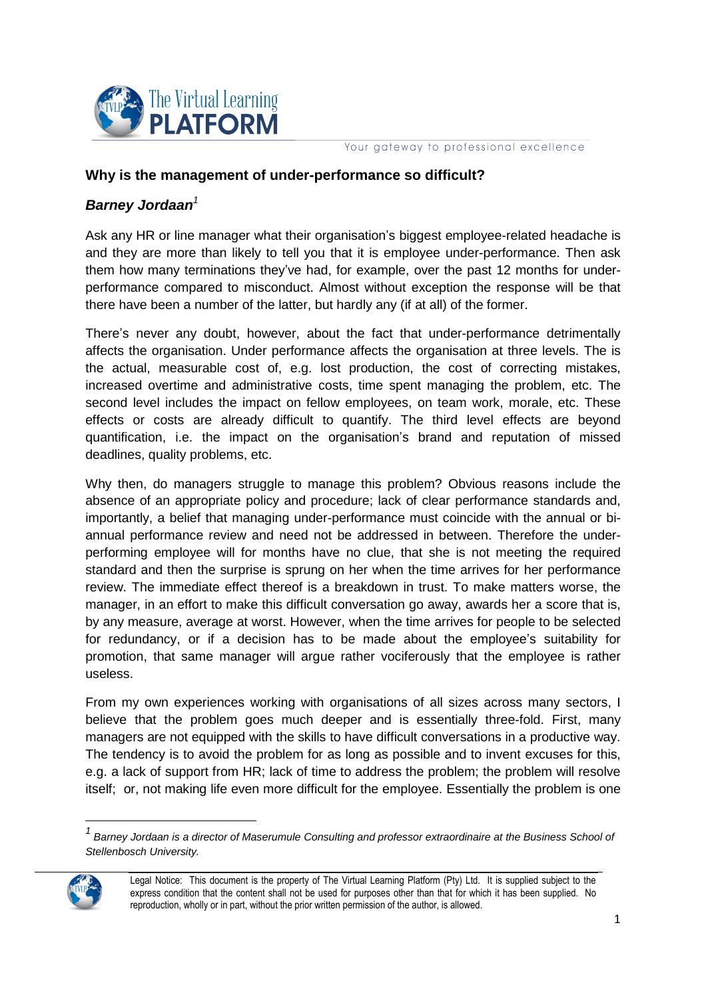

Your gateway to professional excellence

## **Why is the management of under-performance so difficult?**

## *Barney Jordaan<sup>1</sup>*

Ask any HR or line manager what their organisation's biggest employee-related headache is and they are more than likely to tell you that it is employee under-performance. Then ask them how many terminations they've had, for example, over the past 12 months for underperformance compared to misconduct. Almost without exception the response will be that there have been a number of the latter, but hardly any (if at all) of the former.

There's never any doubt, however, about the fact that under-performance detrimentally affects the organisation. Under performance affects the organisation at three levels. The is the actual, measurable cost of, e.g. lost production, the cost of correcting mistakes, increased overtime and administrative costs, time spent managing the problem, etc. The second level includes the impact on fellow employees, on team work, morale, etc. These effects or costs are already difficult to quantify. The third level effects are beyond quantification, i.e. the impact on the organisation's brand and reputation of missed deadlines, quality problems, etc.

Why then, do managers struggle to manage this problem? Obvious reasons include the absence of an appropriate policy and procedure; lack of clear performance standards and, importantly, a belief that managing under-performance must coincide with the annual or biannual performance review and need not be addressed in between. Therefore the underperforming employee will for months have no clue, that she is not meeting the required standard and then the surprise is sprung on her when the time arrives for her performance review. The immediate effect thereof is a breakdown in trust. To make matters worse, the manager, in an effort to make this difficult conversation go away, awards her a score that is, by any measure, average at worst. However, when the time arrives for people to be selected for redundancy, or if a decision has to be made about the employee's suitability for promotion, that same manager will argue rather vociferously that the employee is rather useless.

From my own experiences working with organisations of all sizes across many sectors, I believe that the problem goes much deeper and is essentially three-fold. First, many managers are not equipped with the skills to have difficult conversations in a productive way. The tendency is to avoid the problem for as long as possible and to invent excuses for this, e.g. a lack of support from HR; lack of time to address the problem; the problem will resolve itself; or, not making life even more difficult for the employee. Essentially the problem is one

*<sup>1</sup> Barney Jordaan is a director of Maserumule Consulting and professor extraordinaire at the Business School of Stellenbosch University.*



Legal Notice: This document is the property of The Virtual Learning Platform (Pty) Ltd. It is supplied subject to the express condition that the content shall not be used for purposes other than that for which it has been supplied. No reproduction, wholly or in part, without the prior written permission of the author, is allowed.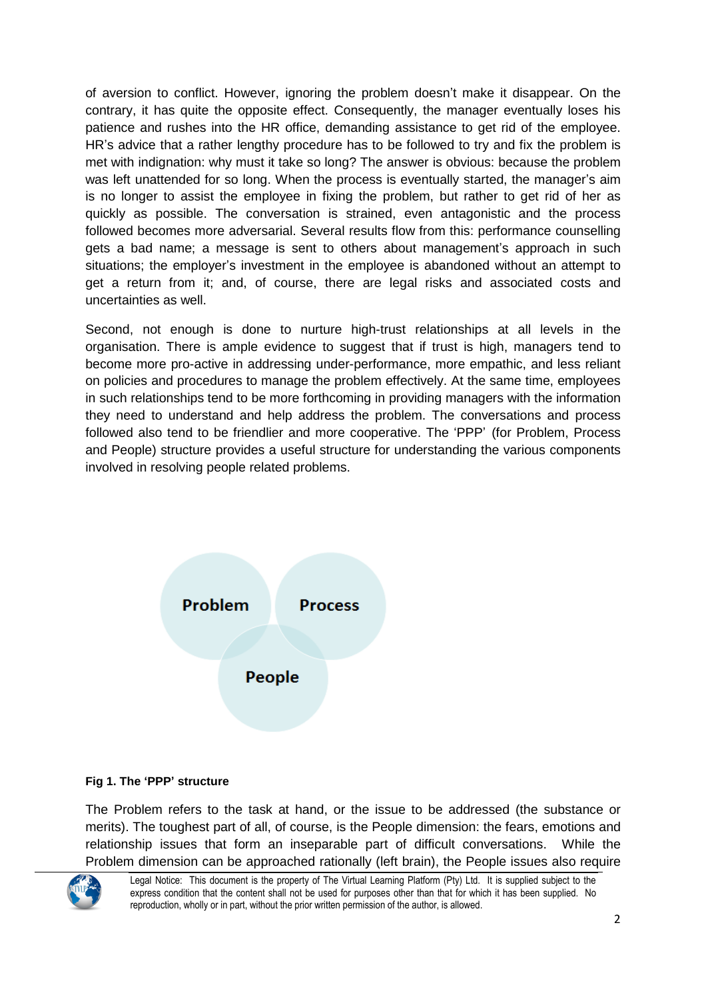of aversion to conflict. However, ignoring the problem doesn't make it disappear. On the contrary, it has quite the opposite effect. Consequently, the manager eventually loses his patience and rushes into the HR office, demanding assistance to get rid of the employee. HR's advice that a rather lengthy procedure has to be followed to try and fix the problem is met with indignation: why must it take so long? The answer is obvious: because the problem was left unattended for so long. When the process is eventually started, the manager's aim is no longer to assist the employee in fixing the problem, but rather to get rid of her as quickly as possible. The conversation is strained, even antagonistic and the process followed becomes more adversarial. Several results flow from this: performance counselling gets a bad name; a message is sent to others about management's approach in such situations; the employer's investment in the employee is abandoned without an attempt to get a return from it; and, of course, there are legal risks and associated costs and uncertainties as well.

Second, not enough is done to nurture high-trust relationships at all levels in the organisation. There is ample evidence to suggest that if trust is high, managers tend to become more pro-active in addressing under-performance, more empathic, and less reliant on policies and procedures to manage the problem effectively. At the same time, employees in such relationships tend to be more forthcoming in providing managers with the information they need to understand and help address the problem. The conversations and process followed also tend to be friendlier and more cooperative. The 'PPP' (for Problem, Process and People) structure provides a useful structure for understanding the various components involved in resolving people related problems.



## **Fig 1. The 'PPP' structure**

The Problem refers to the task at hand, or the issue to be addressed (the substance or merits). The toughest part of all, of course, is the People dimension: the fears, emotions and relationship issues that form an inseparable part of difficult conversations. While the Problem dimension can be approached rationally (left brain), the People issues also require



Legal Notice: This document is the property of The Virtual Learning Platform (Pty) Ltd. It is supplied subject to the express condition that the content shall not be used for purposes other than that for which it has been supplied. No reproduction, wholly or in part, without the prior written permission of the author, is allowed.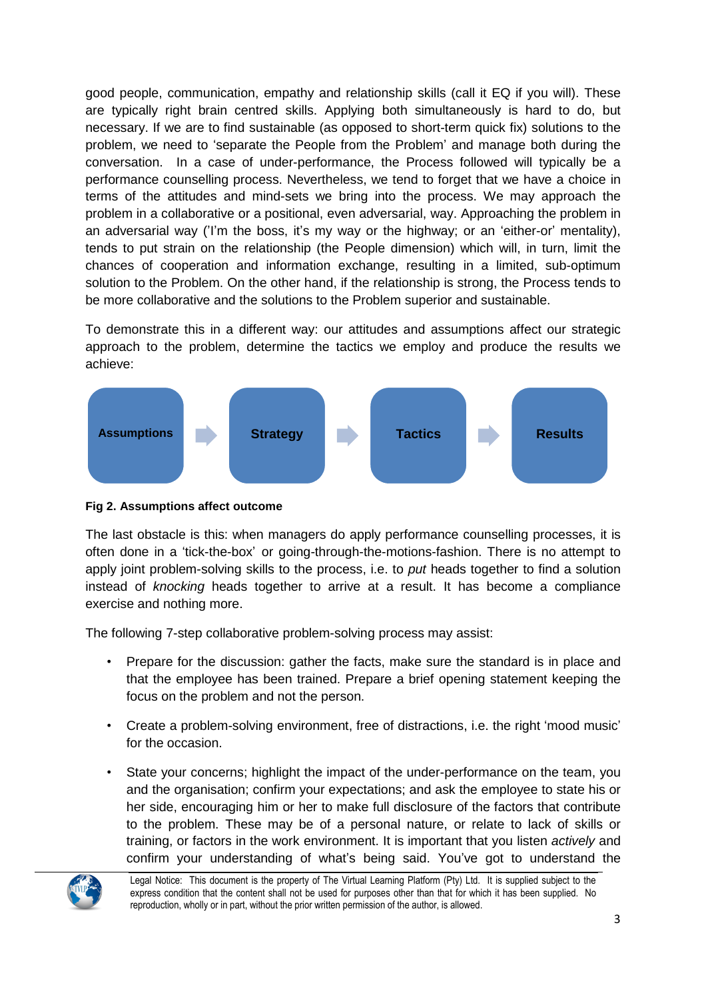good people, communication, empathy and relationship skills (call it EQ if you will). These are typically right brain centred skills. Applying both simultaneously is hard to do, but necessary. If we are to find sustainable (as opposed to short-term quick fix) solutions to the problem, we need to 'separate the People from the Problem' and manage both during the conversation. In a case of under-performance, the Process followed will typically be a performance counselling process. Nevertheless, we tend to forget that we have a choice in terms of the attitudes and mind-sets we bring into the process. We may approach the problem in a collaborative or a positional, even adversarial, way. Approaching the problem in an adversarial way ('I'm the boss, it's my way or the highway; or an 'either-or' mentality), tends to put strain on the relationship (the People dimension) which will, in turn, limit the chances of cooperation and information exchange, resulting in a limited, sub-optimum solution to the Problem. On the other hand, if the relationship is strong, the Process tends to be more collaborative and the solutions to the Problem superior and sustainable.

To demonstrate this in a different way: our attitudes and assumptions affect our strategic approach to the problem, determine the tactics we employ and produce the results we achieve:



## **Fig 2. Assumptions affect outcome**

The last obstacle is this: when managers do apply performance counselling processes, it is often done in a 'tick-the-box' or going-through-the-motions-fashion. There is no attempt to apply joint problem-solving skills to the process, i.e. to *put* heads together to find a solution instead of *knocking* heads together to arrive at a result. It has become a compliance exercise and nothing more.

The following 7-step collaborative problem-solving process may assist:

- Prepare for the discussion: gather the facts, make sure the standard is in place and that the employee has been trained. Prepare a brief opening statement keeping the focus on the problem and not the person.
- Create a problem-solving environment, free of distractions, i.e. the right 'mood music' for the occasion.
- State your concerns; highlight the impact of the under-performance on the team, you and the organisation; confirm your expectations; and ask the employee to state his or her side, encouraging him or her to make full disclosure of the factors that contribute to the problem. These may be of a personal nature, or relate to lack of skills or training, or factors in the work environment. It is important that you listen *actively* and confirm your understanding of what's being said. You've got to understand the



Legal Notice: This document is the property of The Virtual Learning Platform (Pty) Ltd. It is supplied subject to the express condition that the content shall not be used for purposes other than that for which it has been supplied. No reproduction, wholly or in part, without the prior written permission of the author, is allowed.